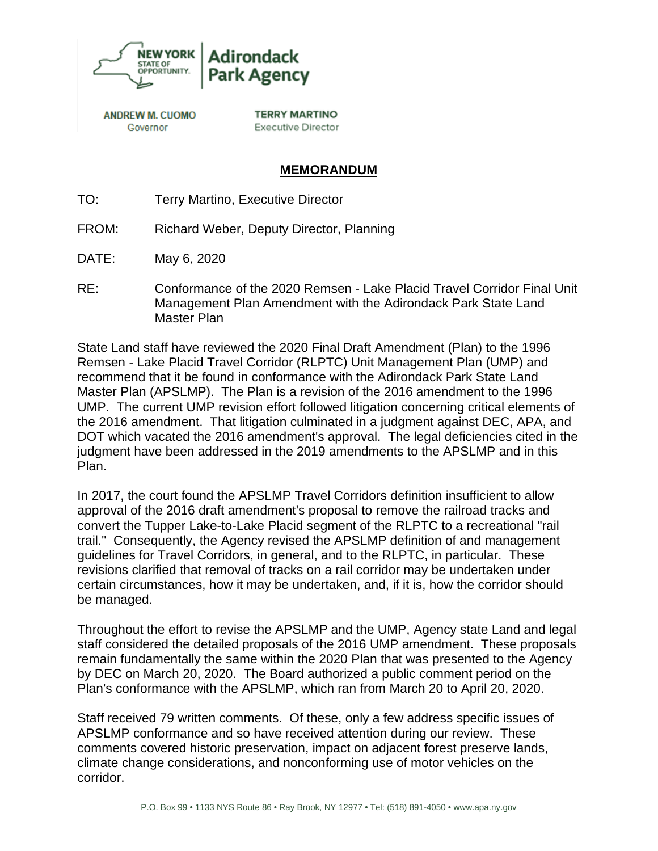

**ANDREW M. CUOMO** Governor

**TERRY MARTINO Executive Director** 

## **MEMORANDUM**

- TO: Terry Martino, Executive Director
- FROM: Richard Weber, Deputy Director, Planning
- DATE: May 6, 2020
- RE: Conformance of the 2020 Remsen Lake Placid Travel Corridor Final Unit Management Plan Amendment with the Adirondack Park State Land Master Plan

State Land staff have reviewed the 2020 Final Draft Amendment (Plan) to the 1996 Remsen - Lake Placid Travel Corridor (RLPTC) Unit Management Plan (UMP) and recommend that it be found in conformance with the Adirondack Park State Land Master Plan (APSLMP). The Plan is a revision of the 2016 amendment to the 1996 UMP. The current UMP revision effort followed litigation concerning critical elements of the 2016 amendment. That litigation culminated in a judgment against DEC, APA, and DOT which vacated the 2016 amendment's approval. The legal deficiencies cited in the judgment have been addressed in the 2019 amendments to the APSLMP and in this Plan.

In 2017, the court found the APSLMP Travel Corridors definition insufficient to allow approval of the 2016 draft amendment's proposal to remove the railroad tracks and convert the Tupper Lake-to-Lake Placid segment of the RLPTC to a recreational "rail trail." Consequently, the Agency revised the APSLMP definition of and management guidelines for Travel Corridors, in general, and to the RLPTC, in particular. These revisions clarified that removal of tracks on a rail corridor may be undertaken under certain circumstances, how it may be undertaken, and, if it is, how the corridor should be managed.

Throughout the effort to revise the APSLMP and the UMP, Agency state Land and legal staff considered the detailed proposals of the 2016 UMP amendment. These proposals remain fundamentally the same within the 2020 Plan that was presented to the Agency by DEC on March 20, 2020. The Board authorized a public comment period on the Plan's conformance with the APSLMP, which ran from March 20 to April 20, 2020.

Staff received 79 written comments. Of these, only a few address specific issues of APSLMP conformance and so have received attention during our review. These comments covered historic preservation, impact on adjacent forest preserve lands, climate change considerations, and nonconforming use of motor vehicles on the corridor.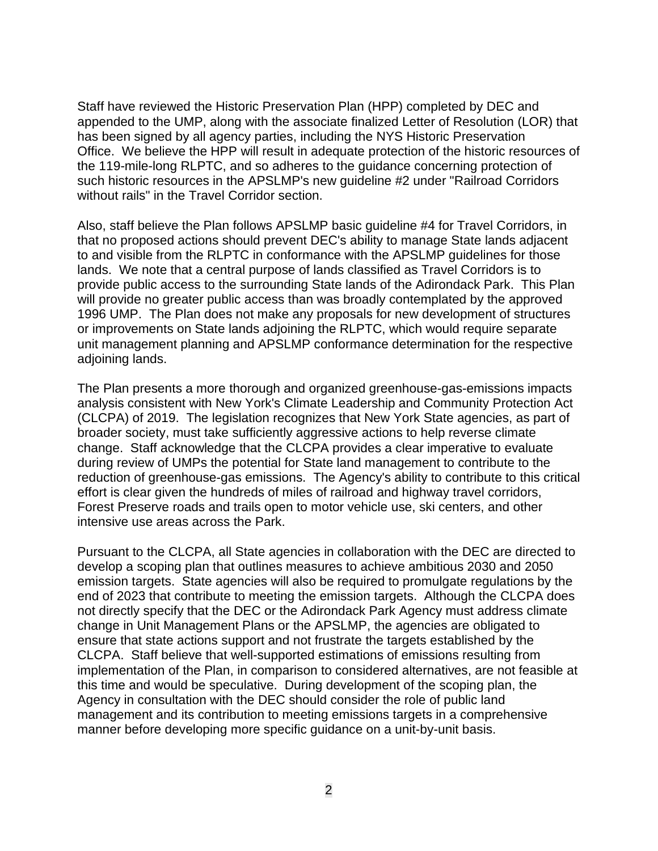Staff have reviewed the Historic Preservation Plan (HPP) completed by DEC and appended to the UMP, along with the associate finalized Letter of Resolution (LOR) that has been signed by all agency parties, including the NYS Historic Preservation Office. We believe the HPP will result in adequate protection of the historic resources of the 119-mile-long RLPTC, and so adheres to the guidance concerning protection of such historic resources in the APSLMP's new guideline #2 under "Railroad Corridors without rails" in the Travel Corridor section.

Also, staff believe the Plan follows APSLMP basic guideline #4 for Travel Corridors, in that no proposed actions should prevent DEC's ability to manage State lands adjacent to and visible from the RLPTC in conformance with the APSLMP guidelines for those lands. We note that a central purpose of lands classified as Travel Corridors is to provide public access to the surrounding State lands of the Adirondack Park. This Plan will provide no greater public access than was broadly contemplated by the approved 1996 UMP. The Plan does not make any proposals for new development of structures or improvements on State lands adjoining the RLPTC, which would require separate unit management planning and APSLMP conformance determination for the respective adjoining lands.

The Plan presents a more thorough and organized greenhouse-gas-emissions impacts analysis consistent with New York's Climate Leadership and Community Protection Act (CLCPA) of 2019. The legislation recognizes that New York State agencies, as part of broader society, must take sufficiently aggressive actions to help reverse climate change. Staff acknowledge that the CLCPA provides a clear imperative to evaluate during review of UMPs the potential for State land management to contribute to the reduction of greenhouse-gas emissions. The Agency's ability to contribute to this critical effort is clear given the hundreds of miles of railroad and highway travel corridors, Forest Preserve roads and trails open to motor vehicle use, ski centers, and other intensive use areas across the Park.

Pursuant to the CLCPA, all State agencies in collaboration with the DEC are directed to develop a scoping plan that outlines measures to achieve ambitious 2030 and 2050 emission targets. State agencies will also be required to promulgate regulations by the end of 2023 that contribute to meeting the emission targets. Although the CLCPA does not directly specify that the DEC or the Adirondack Park Agency must address climate change in Unit Management Plans or the APSLMP, the agencies are obligated to ensure that state actions support and not frustrate the targets established by the CLCPA. Staff believe that well-supported estimations of emissions resulting from implementation of the Plan, in comparison to considered alternatives, are not feasible at this time and would be speculative. During development of the scoping plan, the Agency in consultation with the DEC should consider the role of public land management and its contribution to meeting emissions targets in a comprehensive manner before developing more specific guidance on a unit-by-unit basis.